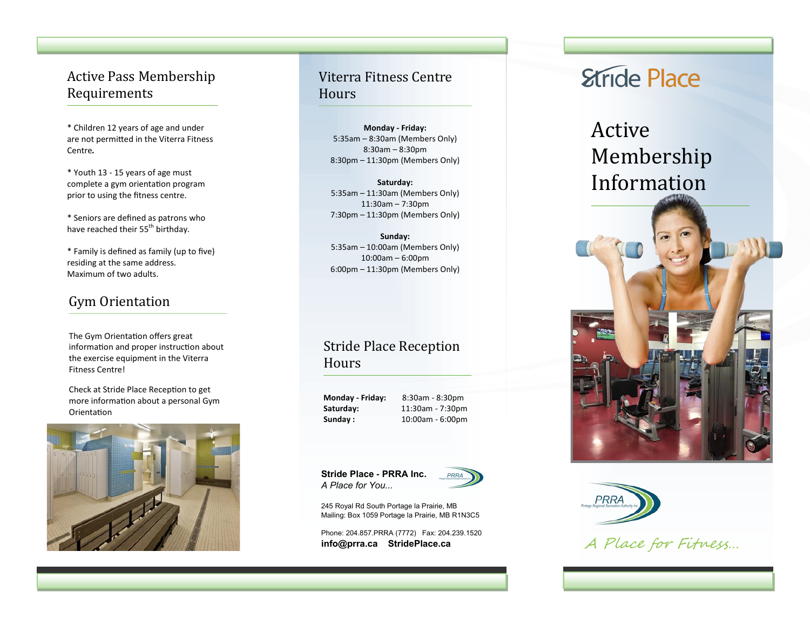#### Active Pass Membership Requirements

\* Children 12 years of age and under are not permitted in the Viterra Fitness Centre*.* 

\* Youth 13 - 15 years of age must complete a gym orientation program prior to using the fitness centre.

\* Seniors are defined as patrons who have reached their 55<sup>th</sup> birthday.

\* Family is defined as family (up to five) residing at the same address. Maximum of two adults.

## Gym Orientation

The Gym Orientation offers great information and proper instruction about the exercise equipment in the Viterra Fitness Centre!

Check at Stride Place Reception to get more information about a personal Gym **Orientation** 



## Viterra Fitness Centre **Hours**

**Monday - Friday:** 5:35am – 8:30am (Members Only) 8:30am – 8:30pm 8:30pm – 11:30pm (Members Only)

**Saturday:** 5:35am – 11:30am (Members Only) 11:30am – 7:30pm 7:30pm – 11:30pm (Members Only)

**Sunday:** 5:35am – 10:00am (Members Only) 10:00am – 6:00pm 6:00pm – 11:30pm (Members Only)

## Stride Place Reception Hours

**Monday - Friday:** 8:30am - 8:30pm **Saturday:** 11:30am - 7:30pm **Sunday :** 10:00am - 6:00pm

**Stride Place - PRRA Inc.** *A Place for You...*



245 Royal Rd South Portage la Prairie, MB Mailing: Box 1059 Portage la Prairie, MB R1N3C5

Phone: 204.857.PRRA (7772) Fax: 204.239.1520 **info@prra.ca StridePlace.ca**

# **Etride Place**

## Active Membership Information





A Place for Fitness…